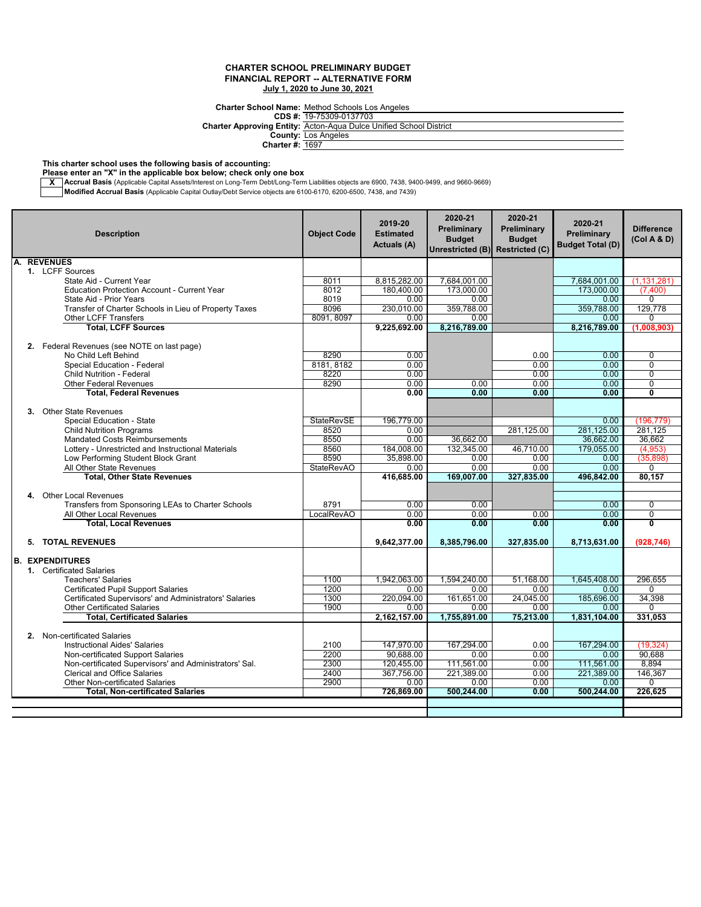**Charter School Name:** Method Schools Los Angeles

**CDS #:** 19-75309-0137703

**Charter Approving Entity:** Acton-Aqua Dulce Unified School District

**County: Charter #:** Los Angeles 1697

**This charter school uses the following basis of accounting:**

**Please enter an "X" in the applicable box below; check only one box**

**X \_\_Accrual Basis** (Applicable Capital Assets/Interest on Long-Term Debt/Long-Term Liabilities objects are 6900, 7438, 9400-9499, and 9660-9669)<br>Mo**dified Accrual Basis** (Applicable Capital Outlay/Debt Service objects are

| A. REVENUES<br>1. LCFF Sources<br>8011<br>8,815,282.00<br>7,684,001.00<br>7,684,001.00<br>State Aid - Current Year<br><b>Education Protection Account - Current Year</b><br>180,400.00<br>173.000.00<br>8012<br>173,000.00<br>(7,400)<br>8019<br>0.00<br>0.00<br>$\Omega$<br>State Aid - Prior Years<br>0.00<br>359.788.00<br>129,778<br>Transfer of Charter Schools in Lieu of Property Taxes<br>8096<br>230.010.00<br>359.788.00<br>8091, 8097<br>0.00<br>0.00<br>0.00<br><b>Other LCFF Transfers</b><br>$\Omega$<br><b>Total, LCFF Sources</b><br>8,216,789.00<br>9,225,692.00<br>8,216,789.00<br>(1,008,903)<br>2. Federal Revenues (see NOTE on last page)<br>No Child Left Behind<br>8290<br>0.00<br>0.00<br>$\overline{0}$<br>0.00<br>8181, 8182<br>0.00<br>0.00<br>Special Education - Federal<br>0.00<br>$\Omega$<br>$\overline{0}$<br>Child Nutrition - Federal<br>8220<br>0.00<br>0.00<br>0.00<br>8290<br>0.00<br>0.00<br>0.00<br>0.00<br><b>Other Federal Revenues</b><br>0<br>0.00<br>0.00<br>$\overline{\mathbf{0}}$<br><b>Total, Federal Revenues</b><br>0.00<br>0.00<br>3. Other State Revenues<br>Special Education - State<br><b>StateRevSE</b><br>196,779.00<br>0.00<br>(196, 779)<br>281,125.00<br>281,125.00<br>281.125<br><b>Child Nutrition Programs</b><br>8520<br>0.00<br><b>Mandated Costs Reimbursements</b><br>8550<br>0.00<br>36.662.00<br>36,662.00<br>36.662<br>8560<br>184,008.00<br>132,345.00<br>179,055.00<br>Lottery - Unrestricted and Instructional Materials<br>46,710.00<br>(4.953)<br>8590<br>35.898.00<br>Low Performing Student Block Grant<br>0.00<br>0.00<br>(35, 898)<br>0.00<br>0.00<br>0.00<br>All Other State Revenues<br><b>StateRevAO</b><br>0.00<br>0.00<br>$\Omega$<br><b>Total, Other State Revenues</b><br>416,685.00<br>169.007.00<br>327.835.00<br>496.842.00<br>80.157<br>4. Other Local Revenues<br>Transfers from Sponsoring LEAs to Charter Schools<br>0.00<br>0.00<br>8791<br>0.00<br>0<br>All Other Local Revenues<br>LocalRevAO<br>0.00<br>0.00<br>0.00<br>0.00<br>$\overline{0}$<br>$\overline{\mathbf{0}}$<br><b>Total, Local Revenues</b><br>0.00<br>0.00<br>0.00<br>0.00<br>5. TOTAL REVENUES<br>9,642,377.00<br>8,385,796.00<br>327,835.00<br>8,713,631.00<br>(928, 746)<br><b>B. EXPENDITURES</b><br>1. Certificated Salaries<br>1,942,063.00<br>1,594,240.00<br>51,168.00<br>1,645,408.00<br>296,655<br><b>Teachers' Salaries</b><br>1100<br>1200<br><b>Certificated Pupil Support Salaries</b><br>0.00<br>0.00<br>0.00<br>0.00<br>$\Omega$<br>Certificated Supervisors' and Administrators' Salaries<br>1300<br>220.094.00<br>161.651.00<br>24,045.00<br>185,696.00<br>34,398<br><b>Other Certificated Salaries</b><br>1900<br>0.00<br>0.00<br>0.00<br>0.00<br>0<br><b>Total, Certificated Salaries</b><br>2,162,157.00<br>1,755,891.00<br>75,213.00<br>1,831,104.00<br>331,053<br>2. Non-certificated Salaries<br>147,970.00<br>167,294.00<br>(19, 324)<br><b>Instructional Aides' Salaries</b><br>2100<br>167,294.00<br>0.00<br>90.688.00<br>90.688<br>2200<br>0.00<br>0.00<br>0.00<br>Non-certificated Support Salaries<br>2300<br>120,455.00<br>8,894<br>Non-certificated Supervisors' and Administrators' Sal.<br>111,561.00<br>0.00<br>111,561.00<br><b>Clerical and Office Salaries</b><br>2400<br>367.756.00<br>221.389.00<br>0.00<br>221,389.00<br>146,367<br>2900<br>0.00<br>0.00<br>0.00<br><b>Other Non-certificated Salaries</b><br>0.00<br>$\Omega$<br><b>Total, Non-certificated Salaries</b><br>726.869.00<br>500.244.00<br>226.625<br>500,244.00<br>0.00 |  | <b>Description</b> | <b>Object Code</b> | 2019-20<br><b>Estimated</b><br><b>Actuals (A)</b> | 2020-21<br>Preliminary<br><b>Budget</b><br>Unrestricted (B) Restricted (C) | 2020-21<br>Preliminary<br><b>Budget</b> | 2020-21<br>Preliminary<br><b>Budget Total (D)</b> | <b>Difference</b><br>(Col A & D) |
|---------------------------------------------------------------------------------------------------------------------------------------------------------------------------------------------------------------------------------------------------------------------------------------------------------------------------------------------------------------------------------------------------------------------------------------------------------------------------------------------------------------------------------------------------------------------------------------------------------------------------------------------------------------------------------------------------------------------------------------------------------------------------------------------------------------------------------------------------------------------------------------------------------------------------------------------------------------------------------------------------------------------------------------------------------------------------------------------------------------------------------------------------------------------------------------------------------------------------------------------------------------------------------------------------------------------------------------------------------------------------------------------------------------------------------------------------------------------------------------------------------------------------------------------------------------------------------------------------------------------------------------------------------------------------------------------------------------------------------------------------------------------------------------------------------------------------------------------------------------------------------------------------------------------------------------------------------------------------------------------------------------------------------------------------------------------------------------------------------------------------------------------------------------------------------------------------------------------------------------------------------------------------------------------------------------------------------------------------------------------------------------------------------------------------------------------------------------------------------------------------------------------------------------------------------------------------------------------------------------------------------------------------------------------------------------------------------------------------------------------------------------------------------------------------------------------------------------------------------------------------------------------------------------------------------------------------------------------------------------------------------------------------------------------------------------------------------------------------------------------------------------------------------------------------------------------------------------------------------------------------------------------------------------------------------------------------------------------------------------------------------------------------------------------------------------------------------------------------------------------------------------------------------------------------|--|--------------------|--------------------|---------------------------------------------------|----------------------------------------------------------------------------|-----------------------------------------|---------------------------------------------------|----------------------------------|
|                                                                                                                                                                                                                                                                                                                                                                                                                                                                                                                                                                                                                                                                                                                                                                                                                                                                                                                                                                                                                                                                                                                                                                                                                                                                                                                                                                                                                                                                                                                                                                                                                                                                                                                                                                                                                                                                                                                                                                                                                                                                                                                                                                                                                                                                                                                                                                                                                                                                                                                                                                                                                                                                                                                                                                                                                                                                                                                                                                                                                                                                                                                                                                                                                                                                                                                                                                                                                                                                                                                                                   |  |                    |                    |                                                   |                                                                            |                                         |                                                   |                                  |
|                                                                                                                                                                                                                                                                                                                                                                                                                                                                                                                                                                                                                                                                                                                                                                                                                                                                                                                                                                                                                                                                                                                                                                                                                                                                                                                                                                                                                                                                                                                                                                                                                                                                                                                                                                                                                                                                                                                                                                                                                                                                                                                                                                                                                                                                                                                                                                                                                                                                                                                                                                                                                                                                                                                                                                                                                                                                                                                                                                                                                                                                                                                                                                                                                                                                                                                                                                                                                                                                                                                                                   |  |                    |                    |                                                   |                                                                            |                                         |                                                   |                                  |
|                                                                                                                                                                                                                                                                                                                                                                                                                                                                                                                                                                                                                                                                                                                                                                                                                                                                                                                                                                                                                                                                                                                                                                                                                                                                                                                                                                                                                                                                                                                                                                                                                                                                                                                                                                                                                                                                                                                                                                                                                                                                                                                                                                                                                                                                                                                                                                                                                                                                                                                                                                                                                                                                                                                                                                                                                                                                                                                                                                                                                                                                                                                                                                                                                                                                                                                                                                                                                                                                                                                                                   |  |                    |                    |                                                   |                                                                            |                                         |                                                   | (1, 131, 281)                    |
|                                                                                                                                                                                                                                                                                                                                                                                                                                                                                                                                                                                                                                                                                                                                                                                                                                                                                                                                                                                                                                                                                                                                                                                                                                                                                                                                                                                                                                                                                                                                                                                                                                                                                                                                                                                                                                                                                                                                                                                                                                                                                                                                                                                                                                                                                                                                                                                                                                                                                                                                                                                                                                                                                                                                                                                                                                                                                                                                                                                                                                                                                                                                                                                                                                                                                                                                                                                                                                                                                                                                                   |  |                    |                    |                                                   |                                                                            |                                         |                                                   |                                  |
|                                                                                                                                                                                                                                                                                                                                                                                                                                                                                                                                                                                                                                                                                                                                                                                                                                                                                                                                                                                                                                                                                                                                                                                                                                                                                                                                                                                                                                                                                                                                                                                                                                                                                                                                                                                                                                                                                                                                                                                                                                                                                                                                                                                                                                                                                                                                                                                                                                                                                                                                                                                                                                                                                                                                                                                                                                                                                                                                                                                                                                                                                                                                                                                                                                                                                                                                                                                                                                                                                                                                                   |  |                    |                    |                                                   |                                                                            |                                         |                                                   |                                  |
|                                                                                                                                                                                                                                                                                                                                                                                                                                                                                                                                                                                                                                                                                                                                                                                                                                                                                                                                                                                                                                                                                                                                                                                                                                                                                                                                                                                                                                                                                                                                                                                                                                                                                                                                                                                                                                                                                                                                                                                                                                                                                                                                                                                                                                                                                                                                                                                                                                                                                                                                                                                                                                                                                                                                                                                                                                                                                                                                                                                                                                                                                                                                                                                                                                                                                                                                                                                                                                                                                                                                                   |  |                    |                    |                                                   |                                                                            |                                         |                                                   |                                  |
|                                                                                                                                                                                                                                                                                                                                                                                                                                                                                                                                                                                                                                                                                                                                                                                                                                                                                                                                                                                                                                                                                                                                                                                                                                                                                                                                                                                                                                                                                                                                                                                                                                                                                                                                                                                                                                                                                                                                                                                                                                                                                                                                                                                                                                                                                                                                                                                                                                                                                                                                                                                                                                                                                                                                                                                                                                                                                                                                                                                                                                                                                                                                                                                                                                                                                                                                                                                                                                                                                                                                                   |  |                    |                    |                                                   |                                                                            |                                         |                                                   |                                  |
|                                                                                                                                                                                                                                                                                                                                                                                                                                                                                                                                                                                                                                                                                                                                                                                                                                                                                                                                                                                                                                                                                                                                                                                                                                                                                                                                                                                                                                                                                                                                                                                                                                                                                                                                                                                                                                                                                                                                                                                                                                                                                                                                                                                                                                                                                                                                                                                                                                                                                                                                                                                                                                                                                                                                                                                                                                                                                                                                                                                                                                                                                                                                                                                                                                                                                                                                                                                                                                                                                                                                                   |  |                    |                    |                                                   |                                                                            |                                         |                                                   |                                  |
|                                                                                                                                                                                                                                                                                                                                                                                                                                                                                                                                                                                                                                                                                                                                                                                                                                                                                                                                                                                                                                                                                                                                                                                                                                                                                                                                                                                                                                                                                                                                                                                                                                                                                                                                                                                                                                                                                                                                                                                                                                                                                                                                                                                                                                                                                                                                                                                                                                                                                                                                                                                                                                                                                                                                                                                                                                                                                                                                                                                                                                                                                                                                                                                                                                                                                                                                                                                                                                                                                                                                                   |  |                    |                    |                                                   |                                                                            |                                         |                                                   |                                  |
|                                                                                                                                                                                                                                                                                                                                                                                                                                                                                                                                                                                                                                                                                                                                                                                                                                                                                                                                                                                                                                                                                                                                                                                                                                                                                                                                                                                                                                                                                                                                                                                                                                                                                                                                                                                                                                                                                                                                                                                                                                                                                                                                                                                                                                                                                                                                                                                                                                                                                                                                                                                                                                                                                                                                                                                                                                                                                                                                                                                                                                                                                                                                                                                                                                                                                                                                                                                                                                                                                                                                                   |  |                    |                    |                                                   |                                                                            |                                         |                                                   |                                  |
|                                                                                                                                                                                                                                                                                                                                                                                                                                                                                                                                                                                                                                                                                                                                                                                                                                                                                                                                                                                                                                                                                                                                                                                                                                                                                                                                                                                                                                                                                                                                                                                                                                                                                                                                                                                                                                                                                                                                                                                                                                                                                                                                                                                                                                                                                                                                                                                                                                                                                                                                                                                                                                                                                                                                                                                                                                                                                                                                                                                                                                                                                                                                                                                                                                                                                                                                                                                                                                                                                                                                                   |  |                    |                    |                                                   |                                                                            |                                         |                                                   |                                  |
|                                                                                                                                                                                                                                                                                                                                                                                                                                                                                                                                                                                                                                                                                                                                                                                                                                                                                                                                                                                                                                                                                                                                                                                                                                                                                                                                                                                                                                                                                                                                                                                                                                                                                                                                                                                                                                                                                                                                                                                                                                                                                                                                                                                                                                                                                                                                                                                                                                                                                                                                                                                                                                                                                                                                                                                                                                                                                                                                                                                                                                                                                                                                                                                                                                                                                                                                                                                                                                                                                                                                                   |  |                    |                    |                                                   |                                                                            |                                         |                                                   |                                  |
|                                                                                                                                                                                                                                                                                                                                                                                                                                                                                                                                                                                                                                                                                                                                                                                                                                                                                                                                                                                                                                                                                                                                                                                                                                                                                                                                                                                                                                                                                                                                                                                                                                                                                                                                                                                                                                                                                                                                                                                                                                                                                                                                                                                                                                                                                                                                                                                                                                                                                                                                                                                                                                                                                                                                                                                                                                                                                                                                                                                                                                                                                                                                                                                                                                                                                                                                                                                                                                                                                                                                                   |  |                    |                    |                                                   |                                                                            |                                         |                                                   |                                  |
|                                                                                                                                                                                                                                                                                                                                                                                                                                                                                                                                                                                                                                                                                                                                                                                                                                                                                                                                                                                                                                                                                                                                                                                                                                                                                                                                                                                                                                                                                                                                                                                                                                                                                                                                                                                                                                                                                                                                                                                                                                                                                                                                                                                                                                                                                                                                                                                                                                                                                                                                                                                                                                                                                                                                                                                                                                                                                                                                                                                                                                                                                                                                                                                                                                                                                                                                                                                                                                                                                                                                                   |  |                    |                    |                                                   |                                                                            |                                         |                                                   |                                  |
|                                                                                                                                                                                                                                                                                                                                                                                                                                                                                                                                                                                                                                                                                                                                                                                                                                                                                                                                                                                                                                                                                                                                                                                                                                                                                                                                                                                                                                                                                                                                                                                                                                                                                                                                                                                                                                                                                                                                                                                                                                                                                                                                                                                                                                                                                                                                                                                                                                                                                                                                                                                                                                                                                                                                                                                                                                                                                                                                                                                                                                                                                                                                                                                                                                                                                                                                                                                                                                                                                                                                                   |  |                    |                    |                                                   |                                                                            |                                         |                                                   |                                  |
|                                                                                                                                                                                                                                                                                                                                                                                                                                                                                                                                                                                                                                                                                                                                                                                                                                                                                                                                                                                                                                                                                                                                                                                                                                                                                                                                                                                                                                                                                                                                                                                                                                                                                                                                                                                                                                                                                                                                                                                                                                                                                                                                                                                                                                                                                                                                                                                                                                                                                                                                                                                                                                                                                                                                                                                                                                                                                                                                                                                                                                                                                                                                                                                                                                                                                                                                                                                                                                                                                                                                                   |  |                    |                    |                                                   |                                                                            |                                         |                                                   |                                  |
|                                                                                                                                                                                                                                                                                                                                                                                                                                                                                                                                                                                                                                                                                                                                                                                                                                                                                                                                                                                                                                                                                                                                                                                                                                                                                                                                                                                                                                                                                                                                                                                                                                                                                                                                                                                                                                                                                                                                                                                                                                                                                                                                                                                                                                                                                                                                                                                                                                                                                                                                                                                                                                                                                                                                                                                                                                                                                                                                                                                                                                                                                                                                                                                                                                                                                                                                                                                                                                                                                                                                                   |  |                    |                    |                                                   |                                                                            |                                         |                                                   |                                  |
|                                                                                                                                                                                                                                                                                                                                                                                                                                                                                                                                                                                                                                                                                                                                                                                                                                                                                                                                                                                                                                                                                                                                                                                                                                                                                                                                                                                                                                                                                                                                                                                                                                                                                                                                                                                                                                                                                                                                                                                                                                                                                                                                                                                                                                                                                                                                                                                                                                                                                                                                                                                                                                                                                                                                                                                                                                                                                                                                                                                                                                                                                                                                                                                                                                                                                                                                                                                                                                                                                                                                                   |  |                    |                    |                                                   |                                                                            |                                         |                                                   |                                  |
|                                                                                                                                                                                                                                                                                                                                                                                                                                                                                                                                                                                                                                                                                                                                                                                                                                                                                                                                                                                                                                                                                                                                                                                                                                                                                                                                                                                                                                                                                                                                                                                                                                                                                                                                                                                                                                                                                                                                                                                                                                                                                                                                                                                                                                                                                                                                                                                                                                                                                                                                                                                                                                                                                                                                                                                                                                                                                                                                                                                                                                                                                                                                                                                                                                                                                                                                                                                                                                                                                                                                                   |  |                    |                    |                                                   |                                                                            |                                         |                                                   |                                  |
|                                                                                                                                                                                                                                                                                                                                                                                                                                                                                                                                                                                                                                                                                                                                                                                                                                                                                                                                                                                                                                                                                                                                                                                                                                                                                                                                                                                                                                                                                                                                                                                                                                                                                                                                                                                                                                                                                                                                                                                                                                                                                                                                                                                                                                                                                                                                                                                                                                                                                                                                                                                                                                                                                                                                                                                                                                                                                                                                                                                                                                                                                                                                                                                                                                                                                                                                                                                                                                                                                                                                                   |  |                    |                    |                                                   |                                                                            |                                         |                                                   |                                  |
|                                                                                                                                                                                                                                                                                                                                                                                                                                                                                                                                                                                                                                                                                                                                                                                                                                                                                                                                                                                                                                                                                                                                                                                                                                                                                                                                                                                                                                                                                                                                                                                                                                                                                                                                                                                                                                                                                                                                                                                                                                                                                                                                                                                                                                                                                                                                                                                                                                                                                                                                                                                                                                                                                                                                                                                                                                                                                                                                                                                                                                                                                                                                                                                                                                                                                                                                                                                                                                                                                                                                                   |  |                    |                    |                                                   |                                                                            |                                         |                                                   |                                  |
|                                                                                                                                                                                                                                                                                                                                                                                                                                                                                                                                                                                                                                                                                                                                                                                                                                                                                                                                                                                                                                                                                                                                                                                                                                                                                                                                                                                                                                                                                                                                                                                                                                                                                                                                                                                                                                                                                                                                                                                                                                                                                                                                                                                                                                                                                                                                                                                                                                                                                                                                                                                                                                                                                                                                                                                                                                                                                                                                                                                                                                                                                                                                                                                                                                                                                                                                                                                                                                                                                                                                                   |  |                    |                    |                                                   |                                                                            |                                         |                                                   |                                  |
|                                                                                                                                                                                                                                                                                                                                                                                                                                                                                                                                                                                                                                                                                                                                                                                                                                                                                                                                                                                                                                                                                                                                                                                                                                                                                                                                                                                                                                                                                                                                                                                                                                                                                                                                                                                                                                                                                                                                                                                                                                                                                                                                                                                                                                                                                                                                                                                                                                                                                                                                                                                                                                                                                                                                                                                                                                                                                                                                                                                                                                                                                                                                                                                                                                                                                                                                                                                                                                                                                                                                                   |  |                    |                    |                                                   |                                                                            |                                         |                                                   |                                  |
|                                                                                                                                                                                                                                                                                                                                                                                                                                                                                                                                                                                                                                                                                                                                                                                                                                                                                                                                                                                                                                                                                                                                                                                                                                                                                                                                                                                                                                                                                                                                                                                                                                                                                                                                                                                                                                                                                                                                                                                                                                                                                                                                                                                                                                                                                                                                                                                                                                                                                                                                                                                                                                                                                                                                                                                                                                                                                                                                                                                                                                                                                                                                                                                                                                                                                                                                                                                                                                                                                                                                                   |  |                    |                    |                                                   |                                                                            |                                         |                                                   |                                  |
|                                                                                                                                                                                                                                                                                                                                                                                                                                                                                                                                                                                                                                                                                                                                                                                                                                                                                                                                                                                                                                                                                                                                                                                                                                                                                                                                                                                                                                                                                                                                                                                                                                                                                                                                                                                                                                                                                                                                                                                                                                                                                                                                                                                                                                                                                                                                                                                                                                                                                                                                                                                                                                                                                                                                                                                                                                                                                                                                                                                                                                                                                                                                                                                                                                                                                                                                                                                                                                                                                                                                                   |  |                    |                    |                                                   |                                                                            |                                         |                                                   |                                  |
|                                                                                                                                                                                                                                                                                                                                                                                                                                                                                                                                                                                                                                                                                                                                                                                                                                                                                                                                                                                                                                                                                                                                                                                                                                                                                                                                                                                                                                                                                                                                                                                                                                                                                                                                                                                                                                                                                                                                                                                                                                                                                                                                                                                                                                                                                                                                                                                                                                                                                                                                                                                                                                                                                                                                                                                                                                                                                                                                                                                                                                                                                                                                                                                                                                                                                                                                                                                                                                                                                                                                                   |  |                    |                    |                                                   |                                                                            |                                         |                                                   |                                  |
|                                                                                                                                                                                                                                                                                                                                                                                                                                                                                                                                                                                                                                                                                                                                                                                                                                                                                                                                                                                                                                                                                                                                                                                                                                                                                                                                                                                                                                                                                                                                                                                                                                                                                                                                                                                                                                                                                                                                                                                                                                                                                                                                                                                                                                                                                                                                                                                                                                                                                                                                                                                                                                                                                                                                                                                                                                                                                                                                                                                                                                                                                                                                                                                                                                                                                                                                                                                                                                                                                                                                                   |  |                    |                    |                                                   |                                                                            |                                         |                                                   |                                  |
|                                                                                                                                                                                                                                                                                                                                                                                                                                                                                                                                                                                                                                                                                                                                                                                                                                                                                                                                                                                                                                                                                                                                                                                                                                                                                                                                                                                                                                                                                                                                                                                                                                                                                                                                                                                                                                                                                                                                                                                                                                                                                                                                                                                                                                                                                                                                                                                                                                                                                                                                                                                                                                                                                                                                                                                                                                                                                                                                                                                                                                                                                                                                                                                                                                                                                                                                                                                                                                                                                                                                                   |  |                    |                    |                                                   |                                                                            |                                         |                                                   |                                  |
|                                                                                                                                                                                                                                                                                                                                                                                                                                                                                                                                                                                                                                                                                                                                                                                                                                                                                                                                                                                                                                                                                                                                                                                                                                                                                                                                                                                                                                                                                                                                                                                                                                                                                                                                                                                                                                                                                                                                                                                                                                                                                                                                                                                                                                                                                                                                                                                                                                                                                                                                                                                                                                                                                                                                                                                                                                                                                                                                                                                                                                                                                                                                                                                                                                                                                                                                                                                                                                                                                                                                                   |  |                    |                    |                                                   |                                                                            |                                         |                                                   |                                  |
|                                                                                                                                                                                                                                                                                                                                                                                                                                                                                                                                                                                                                                                                                                                                                                                                                                                                                                                                                                                                                                                                                                                                                                                                                                                                                                                                                                                                                                                                                                                                                                                                                                                                                                                                                                                                                                                                                                                                                                                                                                                                                                                                                                                                                                                                                                                                                                                                                                                                                                                                                                                                                                                                                                                                                                                                                                                                                                                                                                                                                                                                                                                                                                                                                                                                                                                                                                                                                                                                                                                                                   |  |                    |                    |                                                   |                                                                            |                                         |                                                   |                                  |
|                                                                                                                                                                                                                                                                                                                                                                                                                                                                                                                                                                                                                                                                                                                                                                                                                                                                                                                                                                                                                                                                                                                                                                                                                                                                                                                                                                                                                                                                                                                                                                                                                                                                                                                                                                                                                                                                                                                                                                                                                                                                                                                                                                                                                                                                                                                                                                                                                                                                                                                                                                                                                                                                                                                                                                                                                                                                                                                                                                                                                                                                                                                                                                                                                                                                                                                                                                                                                                                                                                                                                   |  |                    |                    |                                                   |                                                                            |                                         |                                                   |                                  |
|                                                                                                                                                                                                                                                                                                                                                                                                                                                                                                                                                                                                                                                                                                                                                                                                                                                                                                                                                                                                                                                                                                                                                                                                                                                                                                                                                                                                                                                                                                                                                                                                                                                                                                                                                                                                                                                                                                                                                                                                                                                                                                                                                                                                                                                                                                                                                                                                                                                                                                                                                                                                                                                                                                                                                                                                                                                                                                                                                                                                                                                                                                                                                                                                                                                                                                                                                                                                                                                                                                                                                   |  |                    |                    |                                                   |                                                                            |                                         |                                                   |                                  |
|                                                                                                                                                                                                                                                                                                                                                                                                                                                                                                                                                                                                                                                                                                                                                                                                                                                                                                                                                                                                                                                                                                                                                                                                                                                                                                                                                                                                                                                                                                                                                                                                                                                                                                                                                                                                                                                                                                                                                                                                                                                                                                                                                                                                                                                                                                                                                                                                                                                                                                                                                                                                                                                                                                                                                                                                                                                                                                                                                                                                                                                                                                                                                                                                                                                                                                                                                                                                                                                                                                                                                   |  |                    |                    |                                                   |                                                                            |                                         |                                                   |                                  |
|                                                                                                                                                                                                                                                                                                                                                                                                                                                                                                                                                                                                                                                                                                                                                                                                                                                                                                                                                                                                                                                                                                                                                                                                                                                                                                                                                                                                                                                                                                                                                                                                                                                                                                                                                                                                                                                                                                                                                                                                                                                                                                                                                                                                                                                                                                                                                                                                                                                                                                                                                                                                                                                                                                                                                                                                                                                                                                                                                                                                                                                                                                                                                                                                                                                                                                                                                                                                                                                                                                                                                   |  |                    |                    |                                                   |                                                                            |                                         |                                                   |                                  |
|                                                                                                                                                                                                                                                                                                                                                                                                                                                                                                                                                                                                                                                                                                                                                                                                                                                                                                                                                                                                                                                                                                                                                                                                                                                                                                                                                                                                                                                                                                                                                                                                                                                                                                                                                                                                                                                                                                                                                                                                                                                                                                                                                                                                                                                                                                                                                                                                                                                                                                                                                                                                                                                                                                                                                                                                                                                                                                                                                                                                                                                                                                                                                                                                                                                                                                                                                                                                                                                                                                                                                   |  |                    |                    |                                                   |                                                                            |                                         |                                                   |                                  |
|                                                                                                                                                                                                                                                                                                                                                                                                                                                                                                                                                                                                                                                                                                                                                                                                                                                                                                                                                                                                                                                                                                                                                                                                                                                                                                                                                                                                                                                                                                                                                                                                                                                                                                                                                                                                                                                                                                                                                                                                                                                                                                                                                                                                                                                                                                                                                                                                                                                                                                                                                                                                                                                                                                                                                                                                                                                                                                                                                                                                                                                                                                                                                                                                                                                                                                                                                                                                                                                                                                                                                   |  |                    |                    |                                                   |                                                                            |                                         |                                                   |                                  |
|                                                                                                                                                                                                                                                                                                                                                                                                                                                                                                                                                                                                                                                                                                                                                                                                                                                                                                                                                                                                                                                                                                                                                                                                                                                                                                                                                                                                                                                                                                                                                                                                                                                                                                                                                                                                                                                                                                                                                                                                                                                                                                                                                                                                                                                                                                                                                                                                                                                                                                                                                                                                                                                                                                                                                                                                                                                                                                                                                                                                                                                                                                                                                                                                                                                                                                                                                                                                                                                                                                                                                   |  |                    |                    |                                                   |                                                                            |                                         |                                                   |                                  |
|                                                                                                                                                                                                                                                                                                                                                                                                                                                                                                                                                                                                                                                                                                                                                                                                                                                                                                                                                                                                                                                                                                                                                                                                                                                                                                                                                                                                                                                                                                                                                                                                                                                                                                                                                                                                                                                                                                                                                                                                                                                                                                                                                                                                                                                                                                                                                                                                                                                                                                                                                                                                                                                                                                                                                                                                                                                                                                                                                                                                                                                                                                                                                                                                                                                                                                                                                                                                                                                                                                                                                   |  |                    |                    |                                                   |                                                                            |                                         |                                                   |                                  |
|                                                                                                                                                                                                                                                                                                                                                                                                                                                                                                                                                                                                                                                                                                                                                                                                                                                                                                                                                                                                                                                                                                                                                                                                                                                                                                                                                                                                                                                                                                                                                                                                                                                                                                                                                                                                                                                                                                                                                                                                                                                                                                                                                                                                                                                                                                                                                                                                                                                                                                                                                                                                                                                                                                                                                                                                                                                                                                                                                                                                                                                                                                                                                                                                                                                                                                                                                                                                                                                                                                                                                   |  |                    |                    |                                                   |                                                                            |                                         |                                                   |                                  |
|                                                                                                                                                                                                                                                                                                                                                                                                                                                                                                                                                                                                                                                                                                                                                                                                                                                                                                                                                                                                                                                                                                                                                                                                                                                                                                                                                                                                                                                                                                                                                                                                                                                                                                                                                                                                                                                                                                                                                                                                                                                                                                                                                                                                                                                                                                                                                                                                                                                                                                                                                                                                                                                                                                                                                                                                                                                                                                                                                                                                                                                                                                                                                                                                                                                                                                                                                                                                                                                                                                                                                   |  |                    |                    |                                                   |                                                                            |                                         |                                                   |                                  |
|                                                                                                                                                                                                                                                                                                                                                                                                                                                                                                                                                                                                                                                                                                                                                                                                                                                                                                                                                                                                                                                                                                                                                                                                                                                                                                                                                                                                                                                                                                                                                                                                                                                                                                                                                                                                                                                                                                                                                                                                                                                                                                                                                                                                                                                                                                                                                                                                                                                                                                                                                                                                                                                                                                                                                                                                                                                                                                                                                                                                                                                                                                                                                                                                                                                                                                                                                                                                                                                                                                                                                   |  |                    |                    |                                                   |                                                                            |                                         |                                                   |                                  |
|                                                                                                                                                                                                                                                                                                                                                                                                                                                                                                                                                                                                                                                                                                                                                                                                                                                                                                                                                                                                                                                                                                                                                                                                                                                                                                                                                                                                                                                                                                                                                                                                                                                                                                                                                                                                                                                                                                                                                                                                                                                                                                                                                                                                                                                                                                                                                                                                                                                                                                                                                                                                                                                                                                                                                                                                                                                                                                                                                                                                                                                                                                                                                                                                                                                                                                                                                                                                                                                                                                                                                   |  |                    |                    |                                                   |                                                                            |                                         |                                                   |                                  |
|                                                                                                                                                                                                                                                                                                                                                                                                                                                                                                                                                                                                                                                                                                                                                                                                                                                                                                                                                                                                                                                                                                                                                                                                                                                                                                                                                                                                                                                                                                                                                                                                                                                                                                                                                                                                                                                                                                                                                                                                                                                                                                                                                                                                                                                                                                                                                                                                                                                                                                                                                                                                                                                                                                                                                                                                                                                                                                                                                                                                                                                                                                                                                                                                                                                                                                                                                                                                                                                                                                                                                   |  |                    |                    |                                                   |                                                                            |                                         |                                                   |                                  |
|                                                                                                                                                                                                                                                                                                                                                                                                                                                                                                                                                                                                                                                                                                                                                                                                                                                                                                                                                                                                                                                                                                                                                                                                                                                                                                                                                                                                                                                                                                                                                                                                                                                                                                                                                                                                                                                                                                                                                                                                                                                                                                                                                                                                                                                                                                                                                                                                                                                                                                                                                                                                                                                                                                                                                                                                                                                                                                                                                                                                                                                                                                                                                                                                                                                                                                                                                                                                                                                                                                                                                   |  |                    |                    |                                                   |                                                                            |                                         |                                                   |                                  |
|                                                                                                                                                                                                                                                                                                                                                                                                                                                                                                                                                                                                                                                                                                                                                                                                                                                                                                                                                                                                                                                                                                                                                                                                                                                                                                                                                                                                                                                                                                                                                                                                                                                                                                                                                                                                                                                                                                                                                                                                                                                                                                                                                                                                                                                                                                                                                                                                                                                                                                                                                                                                                                                                                                                                                                                                                                                                                                                                                                                                                                                                                                                                                                                                                                                                                                                                                                                                                                                                                                                                                   |  |                    |                    |                                                   |                                                                            |                                         |                                                   |                                  |
|                                                                                                                                                                                                                                                                                                                                                                                                                                                                                                                                                                                                                                                                                                                                                                                                                                                                                                                                                                                                                                                                                                                                                                                                                                                                                                                                                                                                                                                                                                                                                                                                                                                                                                                                                                                                                                                                                                                                                                                                                                                                                                                                                                                                                                                                                                                                                                                                                                                                                                                                                                                                                                                                                                                                                                                                                                                                                                                                                                                                                                                                                                                                                                                                                                                                                                                                                                                                                                                                                                                                                   |  |                    |                    |                                                   |                                                                            |                                         |                                                   |                                  |
|                                                                                                                                                                                                                                                                                                                                                                                                                                                                                                                                                                                                                                                                                                                                                                                                                                                                                                                                                                                                                                                                                                                                                                                                                                                                                                                                                                                                                                                                                                                                                                                                                                                                                                                                                                                                                                                                                                                                                                                                                                                                                                                                                                                                                                                                                                                                                                                                                                                                                                                                                                                                                                                                                                                                                                                                                                                                                                                                                                                                                                                                                                                                                                                                                                                                                                                                                                                                                                                                                                                                                   |  |                    |                    |                                                   |                                                                            |                                         |                                                   |                                  |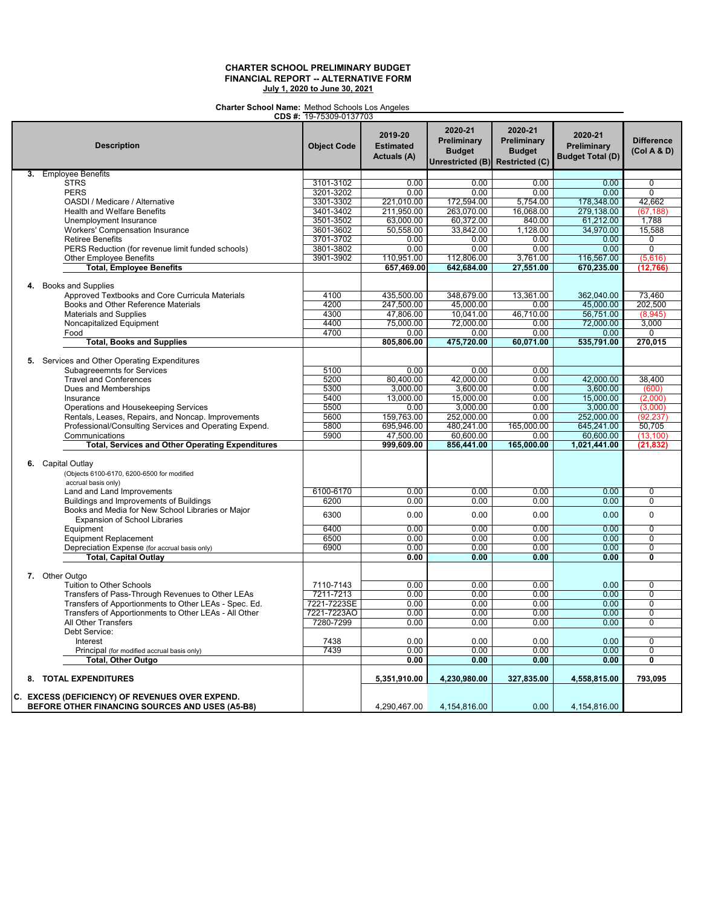### **Charter School Name:** Method Schools Los Angeles

|                                                                                                    | CDS #: 19-75309-0137703 |                                                   |                                                             |                                                                  |                                                   |                                  |
|----------------------------------------------------------------------------------------------------|-------------------------|---------------------------------------------------|-------------------------------------------------------------|------------------------------------------------------------------|---------------------------------------------------|----------------------------------|
| <b>Description</b>                                                                                 | <b>Object Code</b>      | 2019-20<br><b>Estimated</b><br><b>Actuals (A)</b> | 2020-21<br>Preliminary<br><b>Budget</b><br>Unrestricted (B) | 2020-21<br>Preliminary<br><b>Budget</b><br><b>Restricted (C)</b> | 2020-21<br>Preliminary<br><b>Budget Total (D)</b> | <b>Difference</b><br>(Col A & D) |
| 3. Employee Benefits                                                                               |                         |                                                   |                                                             |                                                                  |                                                   |                                  |
| <b>STRS</b>                                                                                        | 3101-3102               | 0.00                                              | 0.00                                                        | 0.00                                                             | 0.00                                              | 0                                |
| <b>PERS</b>                                                                                        | 3201-3202               | 0.00                                              | 0.00                                                        | 0.00                                                             | 0.00                                              | $\Omega$                         |
| OASDI / Medicare / Alternative                                                                     | 3301-3302               | 221,010.00                                        | 172,594.00                                                  | 5.754.00                                                         | 178,348.00                                        | 42.662                           |
| <b>Health and Welfare Benefits</b>                                                                 | 3401-3402               | 211,950.00                                        | 263,070.00                                                  | 16,068.00                                                        | 279,138.00                                        | (67, 188)                        |
| Unemployment Insurance                                                                             | 3501-3502               | 63,000.00                                         | 60,372.00                                                   | 840.00                                                           | 61,212.00                                         | 1,788                            |
| Workers' Compensation Insurance                                                                    | 3601-3602               | 50,558.00                                         | 33,842.00                                                   | 1,128.00                                                         | 34,970.00                                         | 15,588                           |
| <b>Retiree Benefits</b>                                                                            | 3701-3702               | 0.00                                              | 0.00                                                        | 0.00                                                             | 0.00                                              | 0                                |
| PERS Reduction (for revenue limit funded schools)                                                  | 3801-3802               | 0.00                                              | 0.00                                                        | 0.00                                                             | 0.00                                              | $\overline{0}$                   |
| Other Employee Benefits                                                                            | 3901-3902               | 110,951.00                                        | 112,806.00                                                  | 3.761.00                                                         | 116,567.00                                        | (5,616)                          |
| <b>Total, Employee Benefits</b>                                                                    |                         | 657.469.00                                        | 642,684.00                                                  | 27,551.00                                                        | 670,235.00                                        | (12, 766)                        |
| 4. Books and Supplies                                                                              |                         |                                                   |                                                             |                                                                  |                                                   |                                  |
| Approved Textbooks and Core Curricula Materials                                                    | 4100                    | 435,500.00                                        | 348,679.00                                                  | 13,361.00                                                        | 362,040.00                                        | 73.460                           |
| Books and Other Reference Materials                                                                | 4200                    | 247,500.00                                        | 45,000.00                                                   | 0.00                                                             | 45,000.00                                         | 202,500                          |
| <b>Materials and Supplies</b>                                                                      | 4300                    | 47,806.00                                         | 10,041.00                                                   | 46,710.00                                                        | 56,751.00                                         | (8,945)                          |
| Noncapitalized Equipment                                                                           | 4400                    | 75,000.00                                         | 72,000.00                                                   | 0.00                                                             | 72,000.00                                         | 3,000                            |
| Food                                                                                               | 4700                    | 0.00                                              | 0.00                                                        | 0.00                                                             | 0.00                                              | 0                                |
| <b>Total, Books and Supplies</b>                                                                   |                         | 805,806.00                                        | 475,720.00                                                  | 60,071.00                                                        | 535,791.00                                        | 270,015                          |
| 5. Services and Other Operating Expenditures                                                       |                         |                                                   |                                                             |                                                                  |                                                   |                                  |
| Subagreeemnts for Services                                                                         | 5100                    | 0.00                                              | 0.00                                                        | 0.00                                                             |                                                   |                                  |
| <b>Travel and Conferences</b>                                                                      | 5200                    | 80,400.00                                         | 42,000.00                                                   | 0.00                                                             | 42,000.00                                         | 38,400                           |
| Dues and Memberships                                                                               | 5300                    | 3,000.00                                          | 3,600.00                                                    | 0.00                                                             | 3,600.00                                          | (600)                            |
| Insurance                                                                                          | 5400                    | 13,000.00                                         | 15,000.00                                                   | 0.00                                                             | 15,000.00                                         | (2,000)                          |
| Operations and Housekeeping Services                                                               | 5500                    | 0.00                                              | 3,000.00                                                    | 0.00                                                             | 3,000.00                                          | (3,000)                          |
| Rentals, Leases, Repairs, and Noncap. Improvements                                                 | 5600                    | 159,763.00                                        | 252,000.00                                                  | 0.00                                                             | 252,000.00                                        | (92, 237)                        |
| Professional/Consulting Services and Operating Expend.                                             | 5800                    | 695,946.00                                        | 480,241.00                                                  | 165,000.00                                                       | 645,241.00                                        | 50,705                           |
| Communications                                                                                     | 5900                    | 47,500.00                                         | 60,600.00                                                   | 0.00                                                             | 60,600.00                                         | (13, 100)                        |
| <b>Total, Services and Other Operating Expenditures</b>                                            |                         | 999,609.00                                        | 856,441.00                                                  | 165,000.00                                                       | 1,021,441.00                                      | (21, 832)                        |
| 6. Capital Outlay<br>(Objects 6100-6170, 6200-6500 for modified<br>accrual basis only)             |                         |                                                   |                                                             |                                                                  |                                                   |                                  |
| Land and Land Improvements                                                                         | 6100-6170               | 0.00                                              | 0.00                                                        | 0.00                                                             | 0.00                                              | $\overline{0}$                   |
| Buildings and Improvements of Buildings                                                            | 6200                    | 0.00                                              | 0.00                                                        | 0.00                                                             | 0.00                                              | 0                                |
| Books and Media for New School Libraries or Major<br>Expansion of School Libraries                 | 6300                    | 0.00                                              | 0.00                                                        | 0.00                                                             | 0.00                                              | $\mathbf 0$                      |
| Equipment                                                                                          | 6400                    | 0.00                                              | 0.00                                                        | 0.00                                                             | 0.00                                              | $\overline{0}$                   |
| <b>Equipment Replacement</b>                                                                       | 6500                    | 0.00                                              | 0.00                                                        | 0.00                                                             | 0.00                                              | $\Omega$                         |
| Depreciation Expense (for accrual basis only)                                                      | 6900                    | 0.00                                              | 0.00                                                        | 0.00                                                             | 0.00                                              | 0                                |
| <b>Total, Capital Outlay</b>                                                                       |                         | 0.00                                              | 0.00                                                        | 0.00                                                             | 0.00                                              | Ō                                |
| 7. Other Outgo                                                                                     |                         |                                                   |                                                             |                                                                  |                                                   |                                  |
| Tuition to Other Schools                                                                           | 7110-7143               | 0.00                                              | 0.00                                                        | 0.00                                                             | 0.00                                              | $\overline{0}$                   |
| Transfers of Pass-Through Revenues to Other LEAs                                                   | 7211-7213               | 0.00                                              | 0.00                                                        | 0.00                                                             | 0.00                                              | $\Omega$                         |
| Transfers of Apportionments to Other LEAs - Spec. Ed.                                              | 7221-7223SE             | 0.00                                              | 0.00                                                        | 0.00                                                             | 0.00                                              | 0                                |
| Transfers of Apportionments to Other LEAs - All Other                                              | 7221-7223AO             | 0.00                                              | 0.00                                                        | 0.00                                                             | 0.00                                              | $\overline{0}$                   |
| All Other Transfers                                                                                | 7280-7299               | 0.00                                              | 0.00                                                        | 0.00                                                             | 0.00                                              | $\Omega$                         |
| Debt Service:                                                                                      |                         |                                                   |                                                             |                                                                  |                                                   |                                  |
| Interest                                                                                           | 7438                    | 0.00                                              | 0.00                                                        | 0.00                                                             | 0.00                                              | $\Omega$                         |
| Principal (for modified accrual basis only)                                                        | 7439                    | 0.00                                              | 0.00                                                        | 0.00                                                             | 0.00                                              | 0                                |
| <b>Total, Other Outgo</b>                                                                          |                         | 0.00                                              | 0.00                                                        | 0.00                                                             | 0.00                                              | 0                                |
| 8. TOTAL EXPENDITURES                                                                              |                         | 5,351,910.00                                      | 4,230,980.00                                                | 327,835.00                                                       | 4,558,815.00                                      | 793,095                          |
| C. EXCESS (DEFICIENCY) OF REVENUES OVER EXPEND.<br>BEFORE OTHER FINANCING SOURCES AND USES (A5-B8) |                         | 4,290,467.00                                      | 4,154,816.00                                                | 0.00                                                             | 4,154,816.00                                      |                                  |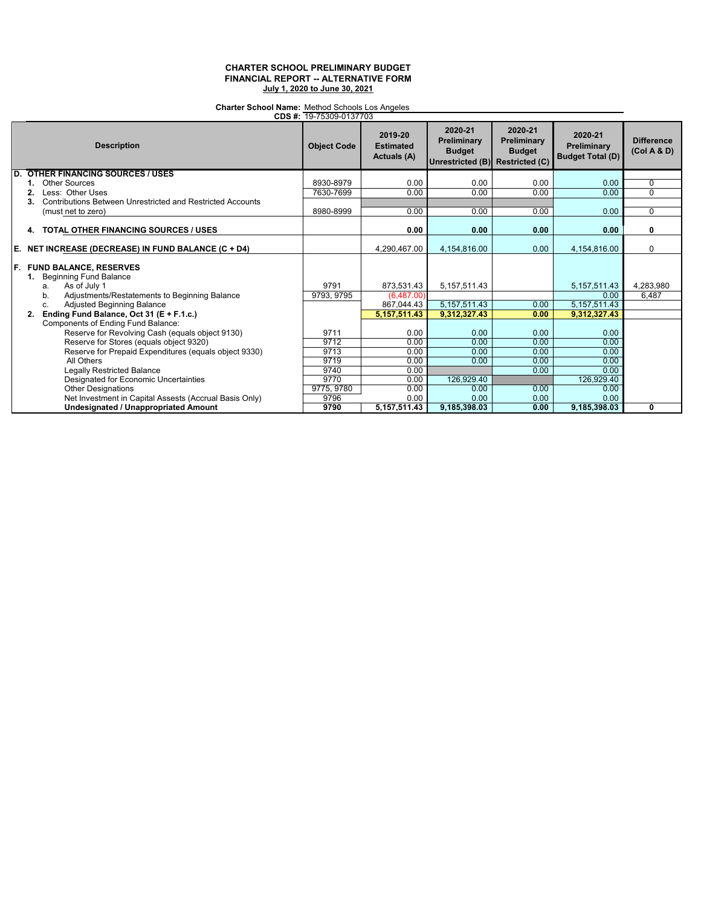## **Charter School Name:** Method Schools Los Angeles

|                                                                                                                                                             | CDS #: 19-75309-0137703 |                                            |                                                                            |                                                |                                                   |                                  |
|-------------------------------------------------------------------------------------------------------------------------------------------------------------|-------------------------|--------------------------------------------|----------------------------------------------------------------------------|------------------------------------------------|---------------------------------------------------|----------------------------------|
| <b>Description</b>                                                                                                                                          | <b>Object Code</b>      | 2019-20<br><b>Estimated</b><br>Actuals (A) | 2020-21<br>Preliminary<br><b>Budget</b><br>Unrestricted (B) Restricted (C) | 2020-21<br><b>Preliminary</b><br><b>Budget</b> | 2020-21<br>Preliminary<br><b>Budget Total (D)</b> | <b>Difference</b><br>(Col A & D) |
| <b>D. OTHER FINANCING SOURCES / USES</b>                                                                                                                    |                         |                                            |                                                                            |                                                |                                                   |                                  |
| <b>Other Sources</b>                                                                                                                                        | 8930-8979               | 0.00                                       | 0.00                                                                       | 0.00                                           | 0.00                                              | $\mathbf 0$                      |
| Less: Other Uses<br>2.                                                                                                                                      | 7630-7699               | 0.00                                       | 0.00                                                                       | 0.00                                           | 0.00                                              | $\Omega$                         |
| Contributions Between Unrestricted and Restricted Accounts                                                                                                  |                         |                                            |                                                                            |                                                |                                                   |                                  |
| (must net to zero)                                                                                                                                          | 8980-8999               | 0.00                                       | 0.00                                                                       | 0.00                                           | 0.00                                              | $\mathbf 0$                      |
| <b>TOTAL OTHER FINANCING SOURCES / USES</b><br>4.                                                                                                           |                         | 0.00                                       | 0.00                                                                       | 0.00                                           | 0.00                                              | 0                                |
|                                                                                                                                                             |                         |                                            |                                                                            |                                                |                                                   |                                  |
| E. NET INCREASE (DECREASE) IN FUND BALANCE (C + D4)                                                                                                         |                         | 4,290,467.00                               | 4,154,816.00                                                               | 0.00                                           | 4,154,816.00                                      | $\mathbf 0$                      |
| F. FUND BALANCE, RESERVES<br><b>Beginning Fund Balance</b><br>$\overline{1}$ .<br>As of July 1<br>a.<br>Adjustments/Restatements to Beginning Balance<br>b. | 9791<br>9793, 9795      | 873,531.43<br>(6,487.00)                   | 5, 157, 511.43                                                             |                                                | 5, 157, 511.43<br>0.00                            | 4,283,980<br>6,487               |
| <b>Adjusted Beginning Balance</b><br>c.                                                                                                                     |                         | 867,044.43                                 | 5, 157, 511.43                                                             | 0.00                                           | 5, 157, 511. 43                                   |                                  |
| Ending Fund Balance, Oct 31 (E + F.1.c.)<br>2.                                                                                                              |                         | 5, 157, 511.43                             | 9,312,327.43                                                               | 0.00                                           | 9,312,327.43                                      |                                  |
| Components of Ending Fund Balance:<br>Reserve for Revolving Cash (equals object 9130)                                                                       | 9711                    | 0.00                                       | 0.00                                                                       | 0.00                                           | 0.00                                              |                                  |
| Reserve for Stores (equals object 9320)                                                                                                                     | 9712                    | 0.00                                       | 0.00                                                                       | 0.00                                           | 0.00                                              |                                  |
| Reserve for Prepaid Expenditures (equals object 9330)                                                                                                       | 9713                    | 0.00                                       | 0.00                                                                       | 0.00                                           | 0.00                                              |                                  |
| All Others                                                                                                                                                  | 9719                    | 0.00                                       | 0.00                                                                       | 0.00                                           | 0.00                                              |                                  |
| <b>Legally Restricted Balance</b>                                                                                                                           | 9740                    | 0.00                                       |                                                                            | 0.00                                           | 0.00                                              |                                  |
| Designated for Economic Uncertainties                                                                                                                       | 9770                    | 0.00                                       | 126.929.40                                                                 |                                                | 126,929.40                                        |                                  |
| <b>Other Designations</b>                                                                                                                                   | 9775, 9780              | 0.00                                       | 0.00                                                                       | 0.00                                           | 0.00                                              |                                  |
| Net Investment in Capital Assests (Accrual Basis Only)                                                                                                      | 9796                    | 0.00                                       | 0.00                                                                       | 0.00                                           | 0.00                                              |                                  |
| <b>Undesignated / Unappropriated Amount</b>                                                                                                                 | 9790                    | 5, 157, 511.43                             | 9,185,398.03                                                               | 0.00                                           | 9,185,398.03                                      | 0                                |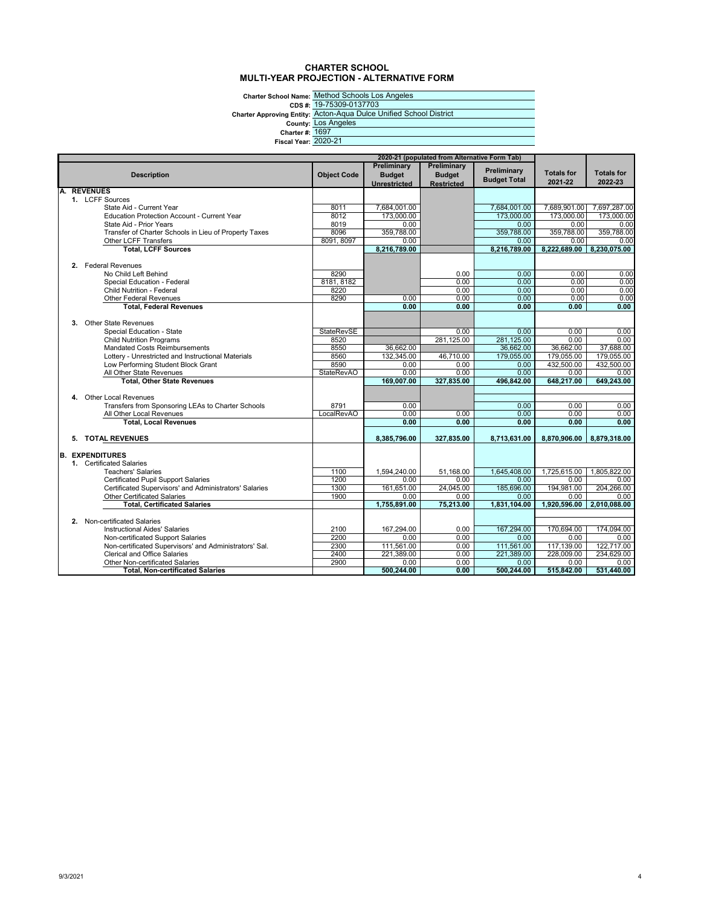### **CHARTER SCHOOL MULTI-YEAR PROJECTION - ALTERNATIVE FORM**

Charter School Name: <u>Method</u><br>CDS #: <u>19-7530</u><br>Charter Approving Entity: <u>Lots And</u><br>County: <u>Lots And</u><br>Charter #: <u>1697</u><br>Fiscal Year: 2020-21

Method Schools Los Angeles 19-75309-0137703 Acton-Aqua Dulce Unified School District Los Angeles 1697

|    |                                                        |                    |                                     | 2020-21 (populated from Alternative Form Tab) |                                    |                            |                   |
|----|--------------------------------------------------------|--------------------|-------------------------------------|-----------------------------------------------|------------------------------------|----------------------------|-------------------|
|    | <b>Description</b>                                     | <b>Object Code</b> | <b>Preliminary</b><br><b>Budget</b> | Preliminary<br><b>Budget</b>                  | Preliminary<br><b>Budget Total</b> | <b>Totals for</b>          | <b>Totals for</b> |
|    |                                                        |                    | Unrestricted                        | <b>Restricted</b>                             |                                    | 2021-22                    | 2022-23           |
| А. | <b>REVENUES</b>                                        |                    |                                     |                                               |                                    |                            |                   |
|    | 1. LCFF Sources<br>State Aid - Current Year            | 8011               | 7,684,001.00                        |                                               | 7,684,001.00                       |                            | 7,697,287.00      |
|    | <b>Education Protection Account - Current Year</b>     | 8012               | 173,000.00                          |                                               | 173,000.00                         | 7,689,901.00<br>173,000,00 | 173,000.00        |
|    | State Aid - Prior Years                                | 8019               | 0.00                                |                                               | 0.00                               | 0.00                       | 0.00              |
|    | Transfer of Charter Schools in Lieu of Property Taxes  | 8096               | 359,788.00                          |                                               | 359,788.00                         | 359,788.00                 | 359,788.00        |
|    | Other LCFF Transfers                                   | 8091, 8097         | 0.00                                |                                               | 0.00                               | 0.00                       | 0.00              |
|    | <b>Total, LCFF Sources</b>                             |                    | 8,216,789.00                        |                                               | 8,216,789.00                       | 8,222,689.00               | 8,230,075.00      |
|    |                                                        |                    |                                     |                                               |                                    |                            |                   |
|    | 2. Federal Revenues                                    |                    |                                     |                                               |                                    |                            |                   |
|    | No Child Left Behind                                   | 8290               |                                     | 0.00                                          | 0.00                               | 0.00                       | 0.00              |
|    | Special Education - Federal                            | 8181, 8182         |                                     | 0.00                                          | 0.00                               | 0.00                       | 0.00              |
|    | <b>Child Nutrition - Federal</b>                       | 8220               |                                     | 0.00                                          | 0.00                               | 0.00                       | 0.00              |
|    | <b>Other Federal Revenues</b>                          | 8290               | 0.00                                | 0.00                                          | 0.00                               | 0.00                       | 0.00              |
|    | <b>Total, Federal Revenues</b>                         |                    | 0.00                                | 0.00                                          | 0.00                               | 0.00                       | 0.00              |
|    |                                                        |                    |                                     |                                               |                                    |                            |                   |
|    | <b>Other State Revenues</b><br>3.                      |                    |                                     |                                               |                                    |                            |                   |
|    | Special Education - State                              | <b>StateRevSE</b>  |                                     | 0.00                                          | 0.00                               | 0.00                       | 0.00              |
|    | <b>Child Nutrition Programs</b>                        | 8520               |                                     | 281,125.00                                    | 281,125.00                         | 0.00                       | 0.00              |
|    | <b>Mandated Costs Reimbursements</b>                   | 8550               | 36,662.00                           |                                               | 36,662.00                          | 36,662.00                  | 37,688.00         |
|    | Lottery - Unrestricted and Instructional Materials     | 8560               | 132,345.00                          | 46,710.00                                     | 179,055.00                         | 179,055.00                 | 179,055.00        |
|    | Low Performing Student Block Grant                     | 8590               | 0.00                                | 0.00                                          | 0.00                               | 432,500.00                 | 432.500.00        |
|    | All Other State Revenues                               | <b>StateRevAO</b>  | 0.00                                | 0.00                                          | 0.00                               | 0.00                       | 0.00              |
|    | <b>Total, Other State Revenues</b>                     |                    | 169.007.00                          | 327.835.00                                    | 496.842.00                         | 648.217.00                 | 649.243.00        |
|    |                                                        |                    |                                     |                                               |                                    |                            |                   |
|    | 4. Other Local Revenues                                |                    |                                     |                                               |                                    |                            |                   |
|    | Transfers from Sponsoring LEAs to Charter Schools      | 8791               | 0.00                                |                                               | 0.00                               | 0.00                       | 0.00              |
|    | All Other Local Revenues                               | LocalRevAO         | 0.00                                | 0.00                                          | 0.00                               | 0.00                       | 0.00              |
|    | <b>Total, Local Revenues</b>                           |                    | 0.00                                | 0.00                                          | 0.00                               | 0.00                       | 0.00              |
|    |                                                        |                    |                                     |                                               |                                    |                            |                   |
|    | 5. TOTAL REVENUES                                      |                    | 8,385,796.00                        | 327,835.00                                    | 8,713,631.00                       | 8,870,906.00               | 8,879,318.00      |
|    | <b>B. EXPENDITURES</b>                                 |                    |                                     |                                               |                                    |                            |                   |
|    | 1. Certificated Salaries                               |                    |                                     |                                               |                                    |                            |                   |
|    | <b>Teachers' Salaries</b>                              | 1100               | 1,594,240.00                        | 51,168.00                                     | 1,645,408.00                       | 1,725,615.00               | 1,805,822.00      |
|    | <b>Certificated Pupil Support Salaries</b>             | 1200               | 0.00                                | 0.00                                          | 0.00                               | 0.00                       | 0.00              |
|    | Certificated Supervisors' and Administrators' Salaries | 1300               | 161,651.00                          | 24,045.00                                     | 185,696.00                         | 194,981.00                 | 204,266.00        |
|    | <b>Other Certificated Salaries</b>                     | 1900               | 0.00                                | 0.00                                          | 0.00                               | 0.00                       | 0.00              |
|    | <b>Total. Certificated Salaries</b>                    |                    | 1.755.891.00                        | 75,213.00                                     | 1.831.104.00                       | 1.920.596.00               | 2.010.088.00      |
|    |                                                        |                    |                                     |                                               |                                    |                            |                   |
|    | 2. Non-certificated Salaries                           |                    |                                     |                                               |                                    |                            |                   |
|    | Instructional Aides' Salaries                          | 2100               | 167,294.00                          | 0.00                                          | 167.294.00                         | 170.694.00                 | 174.094.00        |
|    | Non-certificated Support Salaries                      | 2200               | 0.00                                | 0.00                                          | 0.00                               | 0.00                       | 0.00              |
|    | Non-certificated Supervisors' and Administrators' Sal. | 2300               | 111,561.00                          | 0.00                                          | 111.561.00                         | 117,139.00                 | 122,717.00        |
|    | <b>Clerical and Office Salaries</b>                    | 2400               | 221,389.00                          | 0.00                                          | 221,389.00                         | 228,009.00                 | 234,629.00        |
|    | Other Non-certificated Salaries                        | 2900               | 0.00                                | 0.00                                          | 0.00                               | 0.00                       | 0.00              |
|    | <b>Total, Non-certificated Salaries</b>                |                    | 500,244.00                          | 0.00                                          | 500,244.00                         | 515,842.00                 | 531,440.00        |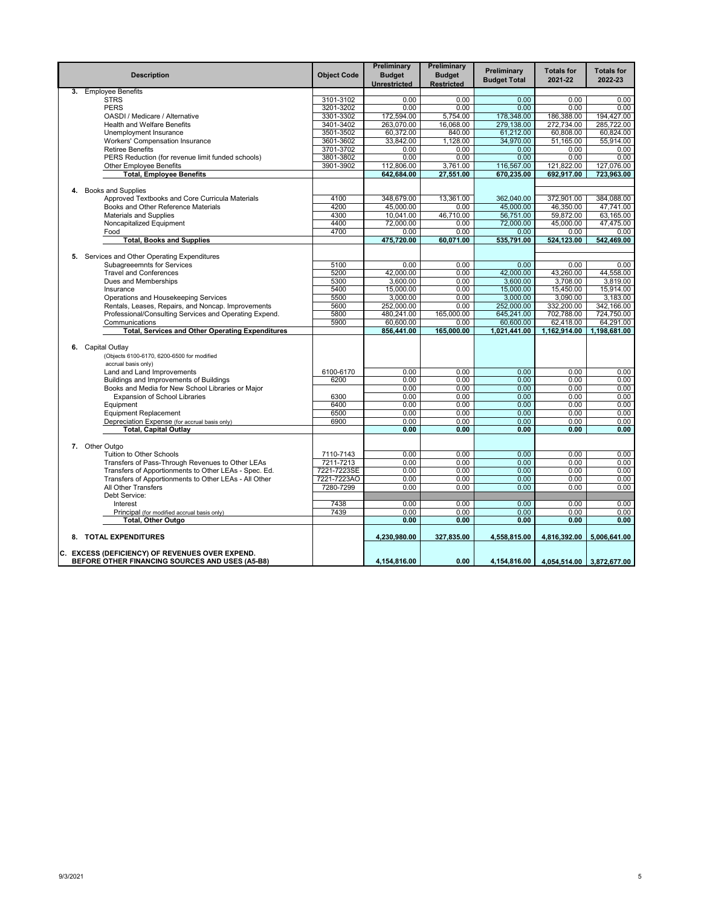|    | <b>Description</b>                                      | <b>Object Code</b> | Preliminary<br><b>Budget</b><br>Unrestricted | Preliminary<br><b>Budget</b><br><b>Restricted</b> | Preliminary<br><b>Budget Total</b> | <b>Totals for</b><br>2021-22 | <b>Totals for</b><br>2022-23 |
|----|---------------------------------------------------------|--------------------|----------------------------------------------|---------------------------------------------------|------------------------------------|------------------------------|------------------------------|
| 3. | <b>Employee Benefits</b>                                |                    |                                              |                                                   |                                    |                              |                              |
|    | <b>STRS</b>                                             | 3101-3102          | 0.00                                         | 0.00                                              | 0.00                               | 0.00                         | 0.00                         |
|    | <b>PERS</b>                                             | 3201-3202          | 0.00                                         | 0.00                                              | 0.00                               | 0.00                         | 0.00                         |
|    | OASDI / Medicare / Alternative                          | 3301-3302          | 172,594.00                                   | 5,754.00                                          | 178,348.00                         | 186,388.00                   | 194,427.00                   |
|    | Health and Welfare Benefits                             | 3401-3402          | 263,070.00                                   | 16,068.00                                         | 279.138.00                         | 272,734.00                   | 285.722.00                   |
|    | Unemployment Insurance                                  | 3501-3502          | 60,372.00                                    | 840.00                                            | 61,212.00                          | 60,808.00                    | 60,824.00                    |
|    | Workers' Compensation Insurance                         | 3601-3602          | 33,842.00                                    | 1,128.00                                          | 34,970.00                          | 51,165.00                    | 55,914.00                    |
|    | <b>Retiree Benefits</b>                                 | 3701-3702          | 0.00                                         | 0.00                                              | 0.00                               | 0.00                         | 0.00                         |
|    | PERS Reduction (for revenue limit funded schools)       | 3801-3802          | 0.00                                         | 0.00                                              | 0.00                               | 0.00                         | 0.00                         |
|    | <b>Other Employee Benefits</b>                          | 3901-3902          | 112,806.00<br>642,684.00                     | 3,761.00                                          | 116,567.00<br>670,235.00           | 121,822.00                   | 127,076.00                   |
|    | <b>Total, Employee Benefits</b>                         |                    |                                              | 27,551.00                                         |                                    | 692,917.00                   | 723,963.00                   |
| 4. | <b>Books and Supplies</b>                               |                    |                                              |                                                   |                                    |                              |                              |
|    | Approved Textbooks and Core Curricula Materials         | 4100               | 348,679.00                                   | 13,361.00                                         | 362,040.00                         | 372,901.00                   | 384,088.00                   |
|    | Books and Other Reference Materials                     | 4200               | 45,000.00                                    | 0.00                                              | 45.000.00                          | 46.350.00                    | 47.741.00                    |
|    | <b>Materials and Supplies</b>                           | 4300               | 10,041.00                                    | 46.710.00                                         | 56.751.00                          | 59,872.00                    | 63.165.00                    |
|    | Noncapitalized Equipment                                | 4400               | 72,000.00                                    | 0.00                                              | 72,000.00                          | 45,000.00                    | 47,475.00                    |
|    | Food                                                    | 4700               | 0.00                                         | 0.00                                              | 0.00                               | 0.00                         | 0.00                         |
|    | <b>Total, Books and Supplies</b>                        |                    | 475,720.00                                   | 60,071.00                                         | 535,791.00                         | 524,123.00                   | 542,469.00                   |
|    |                                                         |                    |                                              |                                                   |                                    |                              |                              |
|    | 5. Services and Other Operating Expenditures            |                    |                                              |                                                   |                                    |                              |                              |
|    | Subagreeemnts for Services                              | 5100               | 0.00                                         | 0.00                                              | 0.00                               | 0.00                         | 0.00                         |
|    | <b>Travel and Conferences</b>                           | 5200               | 42,000.00                                    | 0.00                                              | 42,000.00                          | 43,260.00                    | 44.558.00                    |
|    | Dues and Memberships                                    | 5300               | 3,600.00                                     | 0.00                                              | 3,600.00                           | 3,708.00                     | 3,819.00                     |
|    | Insurance                                               | 5400               | 15,000.00                                    | 0.00                                              | 15,000.00                          | 15,450.00                    | 15,914.00                    |
|    | Operations and Housekeeping Services                    | 5500               | 3,000.00                                     | 0.00                                              | 3.000.00                           | 3,090.00                     | 3,183.00                     |
|    | Rentals, Leases, Repairs, and Noncap. Improvements      | 5600               | 252,000.00                                   | 0.00                                              | 252,000.00                         | 332,200.00                   | 342,166.00                   |
|    | Professional/Consulting Services and Operating Expend.  | 5800               | 480,241.00                                   | 165,000.00                                        | 645,241.00                         | 702,788.00                   | 724,750.00                   |
|    | Communications                                          | 5900               | 60,600.00                                    | 0.00                                              | 60,600.00                          | 62,418.00                    | 64,291.00                    |
|    | <b>Total, Services and Other Operating Expenditures</b> |                    | 856,441.00                                   | 165,000.00                                        | 1,021,441.00                       | 1,162,914.00                 | 1,198,681.00                 |
|    |                                                         |                    |                                              |                                                   |                                    |                              |                              |
|    | 6. Capital Outlay                                       |                    |                                              |                                                   |                                    |                              |                              |
|    | (Objects 6100-6170, 6200-6500 for modified              |                    |                                              |                                                   |                                    |                              |                              |
|    | accrual basis only)                                     |                    |                                              |                                                   |                                    |                              |                              |
|    | Land and Land Improvements                              | 6100-6170          | 0.00                                         | 0.00                                              | 0.00                               | 0.00                         | 0.00                         |
|    | Buildings and Improvements of Buildings                 | 6200               | 0.00                                         | 0.00                                              | 0.00                               | 0.00                         | 0.00                         |
|    | Books and Media for New School Libraries or Major       |                    | 0.00                                         | 0.00                                              | 0.00                               | 0.00                         | 0.00                         |
|    | <b>Expansion of School Libraries</b>                    | 6300               | 0.00                                         | 0.00                                              | 0.00                               | 0.00                         | 0.00                         |
|    | Equipment                                               | 6400               | 0.00                                         | 0.00                                              | 0.00                               | 0.00                         | 0.00                         |
|    | <b>Equipment Replacement</b>                            | 6500               | 0.00                                         | 0.00                                              | 0.00                               | 0.00                         | 0.00                         |
|    | Depreciation Expense (for accrual basis only)           | 6900               | 0.00                                         | 0.00                                              | 0.00                               | 0.00                         | 0.00                         |
|    | <b>Total, Capital Outlay</b>                            |                    | 0.00                                         | 0.00                                              | 0.00                               | 0.00                         | 0.00                         |
|    |                                                         |                    |                                              |                                                   |                                    |                              |                              |
|    | 7. Other Outgo                                          |                    |                                              |                                                   |                                    |                              |                              |
|    | <b>Tuition to Other Schools</b>                         | 7110-7143          | 0.00                                         | 0.00                                              | 0.00                               | 0.00                         | 0.00                         |
|    | Transfers of Pass-Through Revenues to Other LEAs        | 7211-7213          | 0.00                                         | 0.00                                              | 0.00                               | 0.00                         | 0.00                         |
|    | Transfers of Apportionments to Other LEAs - Spec. Ed.   | 7221-7223SE        | 0.00                                         | 0.00                                              | 0.00                               | 0.00                         | 0.00                         |
|    | Transfers of Apportionments to Other LEAs - All Other   | 7221-7223AO        | 0.00                                         | 0.00                                              | 0.00                               | 0.00                         | 0.00                         |
|    | All Other Transfers                                     | 7280-7299          | 0.00                                         | 0.00                                              | 0.00                               | 0.00                         | 0.00                         |
|    | Debt Service:                                           |                    |                                              |                                                   |                                    |                              |                              |
|    | Interest                                                | 7438               | 0.00                                         | 0.00                                              | 0.00                               | 0.00                         | 0.00                         |
|    | Principal (for modified accrual basis only)             | 7439               | 0.00                                         | 0.00                                              | 0.00                               | 0.00                         | 0.00                         |
|    | Total, Other Outgo                                      |                    | 0.00                                         | 0.00                                              | 0.00                               | 0.00                         | 0.00                         |
|    |                                                         |                    |                                              |                                                   |                                    |                              |                              |
|    | 8. TOTAL EXPENDITURES                                   |                    | 4.230.980.00                                 | 327,835.00                                        | 4,558,815.00                       | 4,816,392.00                 | 5.006.641.00                 |
|    | C. EXCESS (DEFICIENCY) OF REVENUES OVER EXPEND.         |                    |                                              |                                                   |                                    |                              |                              |
|    | BEFORE OTHER FINANCING SOURCES AND USES (A5-B8)         |                    | 4,154,816.00                                 | 0.00                                              | 4,154,816.00                       | 4,054,514.00 3,872,677.00    |                              |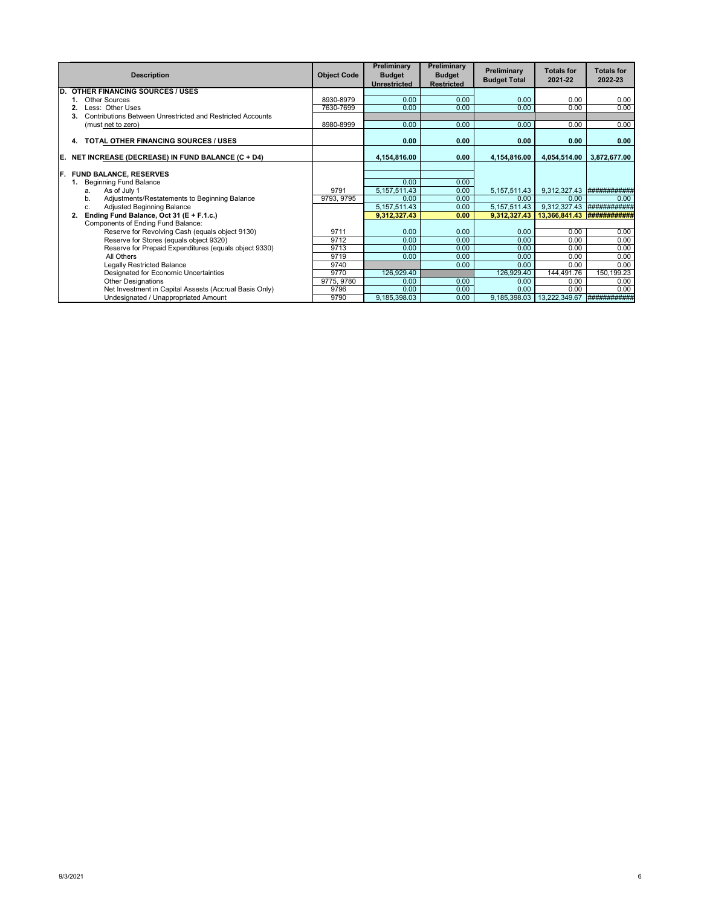|     | <b>Description</b>                                               | <b>Object Code</b> | Preliminary<br><b>Budget</b><br><b>Unrestricted</b> | Preliminary<br><b>Budget</b><br><b>Restricted</b> | Preliminary<br><b>Budget Total</b> | <b>Totals for</b><br>2021-22 | <b>Totals for</b><br>2022-23 |
|-----|------------------------------------------------------------------|--------------------|-----------------------------------------------------|---------------------------------------------------|------------------------------------|------------------------------|------------------------------|
| D.  | <b>OTHER FINANCING SOURCES / USES</b>                            |                    |                                                     |                                                   |                                    |                              |                              |
|     | Other Sources                                                    | 8930-8979          | 0.00                                                | 0.00                                              | 0.00                               | 0.00                         | 0.00                         |
|     | Less: Other Uses                                                 | 7630-7699          | 0.00                                                | 0.00                                              | 0.00                               | 0.00                         | 0.00                         |
|     | Contributions Between Unrestricted and Restricted Accounts<br>3. |                    |                                                     |                                                   |                                    |                              |                              |
|     | (must net to zero)                                               | 8980-8999          | 0.00                                                | 0.00                                              | 0.00                               | 0.00                         | 0.00                         |
|     | TOTAL OTHER FINANCING SOURCES / USES<br>4.                       |                    | 0.00                                                | 0.00                                              | 0.00                               | 0.00                         | 0.00                         |
| E.  | NET INCREASE (DECREASE) IN FUND BALANCE (C + D4)                 |                    | 4,154,816.00                                        | 0.00                                              | 4,154,816.00                       | 4,054,514.00                 | 3,872,677.00                 |
|     |                                                                  |                    |                                                     |                                                   |                                    |                              |                              |
| IF. | <b>FUND BALANCE, RESERVES</b>                                    |                    |                                                     |                                                   |                                    |                              |                              |
|     | <b>Beginning Fund Balance</b>                                    |                    | 0.00                                                | 0.00                                              |                                    |                              |                              |
|     | As of July 1<br>a.                                               | 9791               | 5, 157, 511.43                                      | 0.00                                              | 5, 157, 511.43                     | 9,312,327.43                 | ###########                  |
|     | Adjustments/Restatements to Beginning Balance<br>b.              | 9793, 9795         | 0.00                                                | 0.00                                              | 0.00                               | 0.00                         | 0.00                         |
|     | Adjusted Beginning Balance<br>C.                                 |                    | 5, 157, 511.43                                      | 0.00                                              | 5, 157, 511. 43                    | 9,312,327.43                 | ###########                  |
|     | Ending Fund Balance, Oct 31 (E + F.1.c.)<br>2.                   |                    | 9,312,327.43                                        | 0.00                                              | 9.312.327.43                       | 13,366,841.43                |                              |
|     | Components of Ending Fund Balance:                               |                    |                                                     |                                                   |                                    |                              |                              |
|     | Reserve for Revolving Cash (equals object 9130)                  | 9711               | 0.00                                                | 0.00                                              | 0.00                               | 0.00                         | 0.00                         |
|     | Reserve for Stores (equals object 9320)                          | 9712               | 0.00                                                | 0.00                                              | 0.00                               | 0.00                         | 0.00                         |
|     | Reserve for Prepaid Expenditures (equals object 9330)            | 9713               | 0.00                                                | 0.00                                              | 0.00                               | 0.00                         | 0.00                         |
|     | All Others                                                       | 9719               | 0.00                                                | 0.00                                              | 0.00                               | 0.00                         | 0.00                         |
|     | <b>Legally Restricted Balance</b>                                | 9740               |                                                     | 0.00                                              | 0.00                               | 0.00                         | 0.00                         |
|     | Designated for Economic Uncertainties                            | 9770               | 126,929.40                                          |                                                   | 126,929.40                         | 144,491.76                   | 150,199.23                   |
|     | <b>Other Designations</b>                                        | 9775, 9780         | 0.00                                                | 0.00                                              | 0.00                               | 0.00                         | 0.00                         |
|     | Net Investment in Capital Assests (Accrual Basis Only)           | 9796               | 0.00                                                | 0.00                                              | 0.00                               | 0.00                         | 0.00                         |
|     | Undesignated / Unappropriated Amount                             | 9790               | 9,185,398.03                                        | 0.00                                              | 9,185,398.03                       | 13,222,349.67                | ############                 |